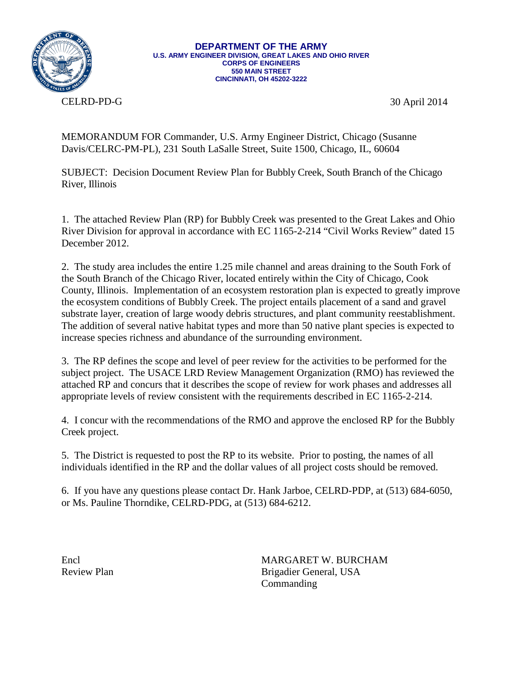

**DEPARTMENT OF THE ARMY U.S. ARMY ENGINEER DIVISION, GREAT LAKES AND OHIO RIVER CORPS OF ENGINEERS 550 MAIN STREET CINCINNATI, OH 45202-3222**

CELRD-PD-G

30 April 2014

MEMORANDUM FOR Commander, U.S. Army Engineer District, Chicago (Susanne Davis/CELRC-PM-PL), 231 South LaSalle Street, Suite 1500, Chicago, IL, 60604

SUBJECT: Decision Document Review Plan for Bubbly Creek, South Branch of the Chicago River, Illinois

1. The attached Review Plan (RP) for Bubbly Creek was presented to the Great Lakes and Ohio River Division for approval in accordance with EC 1165-2-214 "Civil Works Review" dated 15 December 2012.

2. The study area includes the entire 1.25 mile channel and areas draining to the South Fork of the South Branch of the Chicago River, located entirely within the City of Chicago, Cook County, Illinois. Implementation of an ecosystem restoration plan is expected to greatly improve the ecosystem conditions of Bubbly Creek. The project entails placement of a sand and gravel substrate layer, creation of large woody debris structures, and plant community reestablishment. The addition of several native habitat types and more than 50 native plant species is expected to increase species richness and abundance of the surrounding environment.

3. The RP defines the scope and level of peer review for the activities to be performed for the subject project. The USACE LRD Review Management Organization (RMO) has reviewed the attached RP and concurs that it describes the scope of review for work phases and addresses all appropriate levels of review consistent with the requirements described in EC 1165-2-214.

4. I concur with the recommendations of the RMO and approve the enclosed RP for the Bubbly Creek project.

5. The District is requested to post the RP to its website. Prior to posting, the names of all individuals identified in the RP and the dollar values of all project costs should be removed.

6. If you have any questions please contact Dr. Hank Jarboe, CELRD-PDP, at (513) 684-6050, or Ms. Pauline Thorndike, CELRD-PDG, at (513) 684-6212.

Encl MARGARET W. BURCHAM Review Plan Brigadier General, USA **Commanding**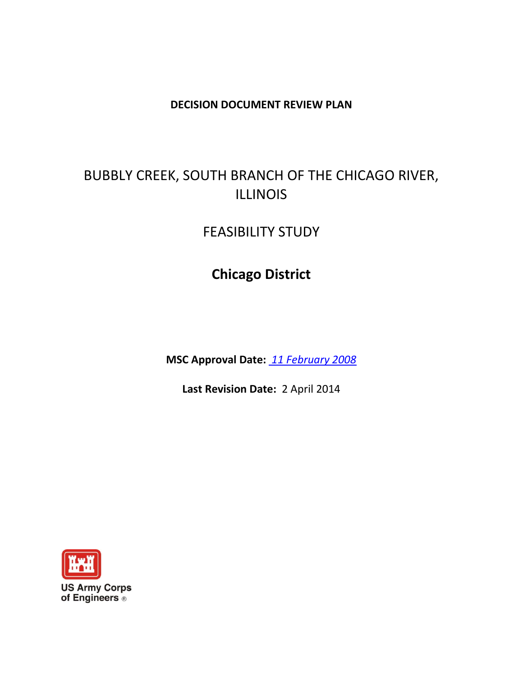## **DECISION DOCUMENT REVIEW PLAN**

# BUBBLY CREEK, SOUTH BRANCH OF THE CHICAGO RIVER, ILLINOIS

# FEASIBILITY STUDY

# **Chicago District**

**MSC Approval Date:** *11 February 2008*

**Last Revision Date:** 2 April 2014



**US Army Corps** of Engineers ®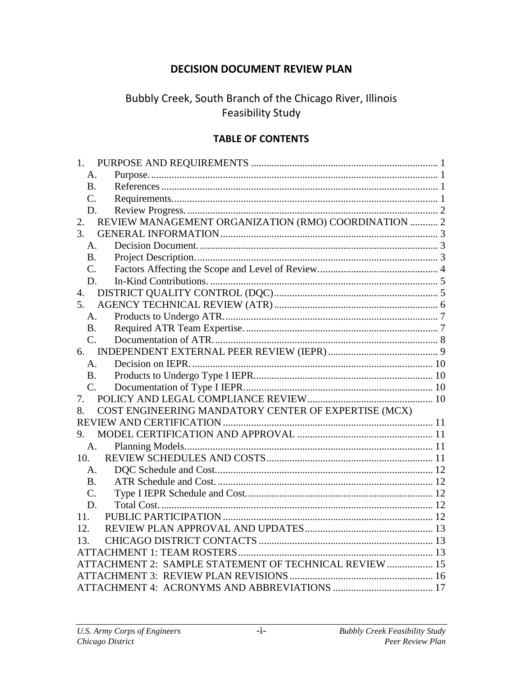## **DECISION DOCUMENT REVIEW PLAN**

# Bubbly Creek, South Branch of the Chicago River, Illinois **Feasibility Study**

## **TABLE OF CONTENTS**

| 1.              |                                                        |  |
|-----------------|--------------------------------------------------------|--|
| A.              |                                                        |  |
| <b>B.</b>       |                                                        |  |
| $\mathcal{C}$ . |                                                        |  |
| D.              |                                                        |  |
| 2.              | REVIEW MANAGEMENT ORGANIZATION (RMO) COORDINATION  2   |  |
| 3.              |                                                        |  |
| A.              |                                                        |  |
| <b>B.</b>       |                                                        |  |
| $C_{\cdot}$     |                                                        |  |
| D.              |                                                        |  |
| 4.              |                                                        |  |
| 5.              |                                                        |  |
| $A_{\cdot}$     |                                                        |  |
| <b>B.</b>       |                                                        |  |
| $C_{\cdot}$     |                                                        |  |
| 6.              |                                                        |  |
| A <sub>1</sub>  |                                                        |  |
| B <sub>1</sub>  |                                                        |  |
| $C_{\cdot}$     |                                                        |  |
| $7_{-}$         |                                                        |  |
| 8.              | COST ENGINEERING MANDATORY CENTER OF EXPERTISE (MCX)   |  |
|                 |                                                        |  |
| 9.              |                                                        |  |
|                 | A.                                                     |  |
| 10.             |                                                        |  |
| A.              |                                                        |  |
| <b>B.</b>       |                                                        |  |
| C.              |                                                        |  |
| D.              |                                                        |  |
| 11.             |                                                        |  |
| 12.             |                                                        |  |
| 13.             |                                                        |  |
|                 |                                                        |  |
|                 | ATTACHMENT 2: SAMPLE STATEMENT OF TECHNICAL REVIEW  15 |  |
|                 |                                                        |  |
|                 |                                                        |  |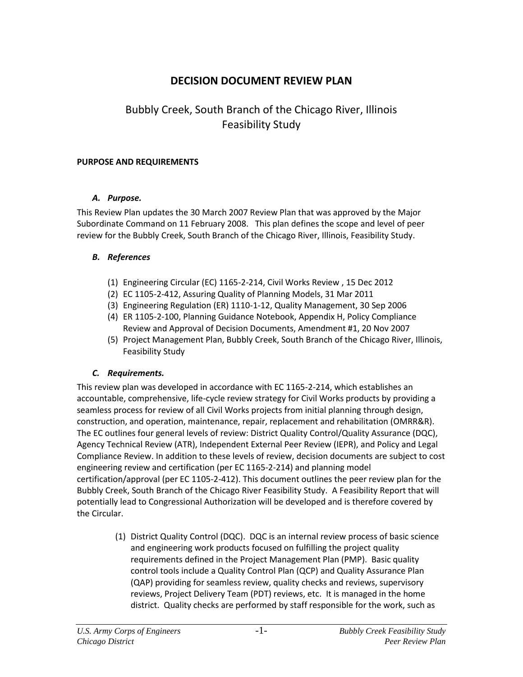## **DECISION DOCUMENT REVIEW PLAN**

# Bubbly Creek, South Branch of the Chicago River, Illinois Feasibility Study

#### <span id="page-3-0"></span>**PURPOSE AND REQUIREMENTS**

#### <span id="page-3-1"></span>*A. Purpose.*

This Review Plan updates the 30 March 2007 Review Plan that was approved by the Major Subordinate Command on 11 February 2008. This plan defines the scope and level of peer review for the Bubbly Creek, South Branch of the Chicago River, Illinois, Feasibility Study.

#### <span id="page-3-2"></span>*B. References*

- (1) Engineering Circular (EC) 1165-2-214, Civil Works Review , 15 Dec 2012
- (2) EC 1105-2-412, Assuring Quality of Planning Models, 31 Mar 2011
- (3) Engineering Regulation (ER) 1110-1-12, Quality Management, 30 Sep 2006
- (4) ER 1105-2-100, Planning Guidance Notebook, Appendix H, Policy Compliance Review and Approval of Decision Documents, Amendment #1, 20 Nov 2007
- (5) Project Management Plan, Bubbly Creek, South Branch of the Chicago River, Illinois, Feasibility Study

### <span id="page-3-3"></span>*C. Requirements.*

This review plan was developed in accordance with EC 1165-2-214, which establishes an accountable, comprehensive, life-cycle review strategy for Civil Works products by providing a seamless process for review of all Civil Works projects from initial planning through design, construction, and operation, maintenance, repair, replacement and rehabilitation (OMRR&R). The EC outlines four general levels of review: District Quality Control/Quality Assurance (DQC), Agency Technical Review (ATR), Independent External Peer Review (IEPR), and Policy and Legal Compliance Review. In addition to these levels of review, decision documents are subject to cost engineering review and certification (per EC 1165-2-214) and planning model certification/approval (per EC 1105-2-412). This document outlines the peer review plan for the Bubbly Creek, South Branch of the Chicago River Feasibility Study. A Feasibility Report that will potentially lead to Congressional Authorization will be developed and is therefore covered by the Circular.

> (1) District Quality Control (DQC). DQC is an internal review process of basic science and engineering work products focused on fulfilling the project quality requirements defined in the Project Management Plan (PMP). Basic quality control tools include a Quality Control Plan (QCP) and Quality Assurance Plan (QAP) providing for seamless review, quality checks and reviews, supervisory reviews, Project Delivery Team (PDT) reviews, etc. It is managed in the home district. Quality checks are performed by staff responsible for the work, such as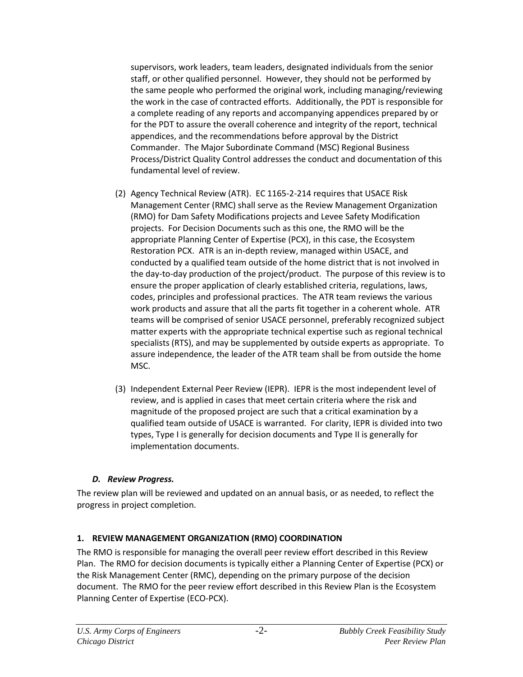supervisors, work leaders, team leaders, designated individuals from the senior staff, or other qualified personnel. However, they should not be performed by the same people who performed the original work, including managing/reviewing the work in the case of contracted efforts. Additionally, the PDT is responsible for a complete reading of any reports and accompanying appendices prepared by or for the PDT to assure the overall coherence and integrity of the report, technical appendices, and the recommendations before approval by the District Commander. The Major Subordinate Command (MSC) Regional Business Process/District Quality Control addresses the conduct and documentation of this fundamental level of review.

- (2) Agency Technical Review (ATR). EC 1165-2-214 requires that USACE Risk Management Center (RMC) shall serve as the Review Management Organization (RMO) for Dam Safety Modifications projects and Levee Safety Modification projects. For Decision Documents such as this one, the RMO will be the appropriate Planning Center of Expertise (PCX), in this case, the Ecosystem Restoration PCX. ATR is an in-depth review, managed within USACE, and conducted by a qualified team outside of the home district that is not involved in the day-to-day production of the project/product. The purpose of this review is to ensure the proper application of clearly established criteria, regulations, laws, codes, principles and professional practices. The ATR team reviews the various work products and assure that all the parts fit together in a coherent whole. ATR teams will be comprised of senior USACE personnel, preferably recognized subject matter experts with the appropriate technical expertise such as regional technical specialists (RTS), and may be supplemented by outside experts as appropriate. To assure independence, the leader of the ATR team shall be from outside the home MSC.
- (3) Independent External Peer Review (IEPR). IEPR is the most independent level of review, and is applied in cases that meet certain criteria where the risk and magnitude of the proposed project are such that a critical examination by a qualified team outside of USACE is warranted. For clarity, IEPR is divided into two types, Type I is generally for decision documents and Type II is generally for implementation documents.

### <span id="page-4-0"></span>*D. Review Progress.*

The review plan will be reviewed and updated on an annual basis, or as needed, to reflect the progress in project completion.

#### <span id="page-4-1"></span>**1. REVIEW MANAGEMENT ORGANIZATION (RMO) COORDINATION**

The RMO is responsible for managing the overall peer review effort described in this Review Plan. The RMO for decision documents is typically either a Planning Center of Expertise (PCX) or the Risk Management Center (RMC), depending on the primary purpose of the decision document. The RMO for the peer review effort described in this Review Plan is the Ecosystem Planning Center of Expertise (ECO-PCX).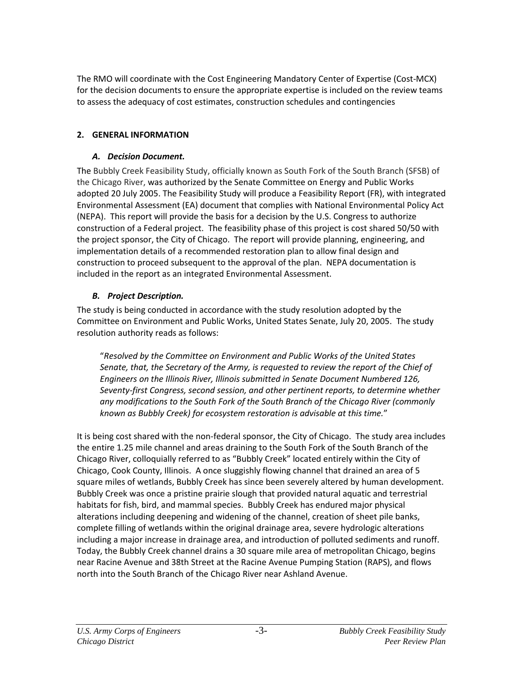The RMO will coordinate with the Cost Engineering Mandatory Center of Expertise (Cost-MCX) for the decision documents to ensure the appropriate expertise is included on the review teams to assess the adequacy of cost estimates, construction schedules and contingencies

## <span id="page-5-1"></span><span id="page-5-0"></span>**2. GENERAL INFORMATION**

## *A. Decision Document.*

The Bubbly Creek Feasibility Study, officially known as South Fork of the South Branch (SFSB) of the Chicago River, was authorized by the Senate Committee on Energy and Public Works adopted 20 July 2005. The Feasibility Study will produce a Feasibility Report (FR), with integrated Environmental Assessment (EA) document that complies with National Environmental Policy Act (NEPA). This report will provide the basis for a decision by the U.S. Congress to authorize construction of a Federal project. The feasibility phase of this project is cost shared 50/50 with the project sponsor, the City of Chicago. The report will provide planning, engineering, and implementation details of a recommended restoration plan to allow final design and construction to proceed subsequent to the approval of the plan. NEPA documentation is included in the report as an integrated Environmental Assessment.

## <span id="page-5-2"></span>*B. Project Description.*

The study is being conducted in accordance with the study resolution adopted by the Committee on Environment and Public Works, United States Senate, July 20, 2005. The study resolution authority reads as follows:

"*Resolved by the Committee on Environment and Public Works of the United States Senate, that, the Secretary of the Army, is requested to review the report of the Chief of Engineers on the Illinois River, Illinois submitted in Senate Document Numbered 126, Seventy-first Congress, second session, and other pertinent reports, to determine whether any modifications to the South Fork of the South Branch of the Chicago River (commonly known as Bubbly Creek) for ecosystem restoration is advisable at this time.*"

It is being cost shared with the non-federal sponsor, the City of Chicago. The study area includes the entire 1.25 mile channel and areas draining to the South Fork of the South Branch of the Chicago River, colloquially referred to as "Bubbly Creek" located entirely within the City of Chicago, Cook County, Illinois. A once sluggishly flowing channel that drained an area of 5 square miles of wetlands, Bubbly Creek has since been severely altered by human development. Bubbly Creek was once a pristine prairie slough that provided natural aquatic and terrestrial habitats for fish, bird, and mammal species. Bubbly Creek has endured major physical alterations including deepening and widening of the channel, creation of sheet pile banks, complete filling of wetlands within the original drainage area, severe hydrologic alterations including a major increase in drainage area, and introduction of polluted sediments and runoff. Today, the Bubbly Creek channel drains a 30 square mile area of metropolitan Chicago, begins near Racine Avenue and 38th Street at the Racine Avenue Pumping Station (RAPS), and flows north into the South Branch of the Chicago River near Ashland Avenue.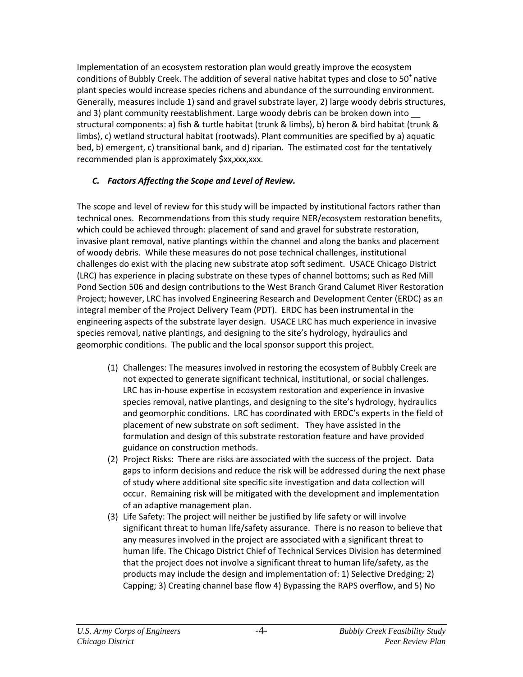Implementation of an ecosystem restoration plan would greatly improve the ecosystem conditions of Bubbly Creek. The addition of several native habitat types and close to  $50^+$  native plant species would increase species richens and abundance of the surrounding environment. Generally, measures include 1) sand and gravel substrate layer, 2) large woody debris structures, and 3) plant community reestablishment. Large woody debris can be broken down into structural components: a) fish & turtle habitat (trunk & limbs), b) heron & bird habitat (trunk & limbs), c) wetland structural habitat (rootwads). Plant communities are specified by a) aquatic bed, b) emergent, c) transitional bank, and d) riparian. The estimated cost for the tentatively recommended plan is approximately \$xx,xxx,xxx.

## <span id="page-6-0"></span>*C. Factors Affecting the Scope and Level of Review.*

The scope and level of review for this study will be impacted by institutional factors rather than technical ones. Recommendations from this study require NER/ecosystem restoration benefits, which could be achieved through: placement of sand and gravel for substrate restoration, invasive plant removal, native plantings within the channel and along the banks and placement of woody debris. While these measures do not pose technical challenges, institutional challenges do exist with the placing new substrate atop soft sediment. USACE Chicago District (LRC) has experience in placing substrate on these types of channel bottoms; such as Red Mill Pond Section 506 and design contributions to the West Branch Grand Calumet River Restoration Project; however, LRC has involved Engineering Research and Development Center (ERDC) as an integral member of the Project Delivery Team (PDT). ERDC has been instrumental in the engineering aspects of the substrate layer design. USACE LRC has much experience in invasive species removal, native plantings, and designing to the site's hydrology, hydraulics and geomorphic conditions. The public and the local sponsor support this project.

- (1) Challenges: The measures involved in restoring the ecosystem of Bubbly Creek are not expected to generate significant technical, institutional, or social challenges. LRC has in-house expertise in ecosystem restoration and experience in invasive species removal, native plantings, and designing to the site's hydrology, hydraulics and geomorphic conditions. LRC has coordinated with ERDC's experts in the field of placement of new substrate on soft sediment. They have assisted in the formulation and design of this substrate restoration feature and have provided guidance on construction methods.
- (2) Project Risks: There are risks are associated with the success of the project. Data gaps to inform decisions and reduce the risk will be addressed during the next phase of study where additional site specific site investigation and data collection will occur. Remaining risk will be mitigated with the development and implementation of an adaptive management plan.
- (3) Life Safety: The project will neither be justified by life safety or will involve significant threat to human life/safety assurance. There is no reason to believe that any measures involved in the project are associated with a significant threat to human life. The Chicago District Chief of Technical Services Division has determined that the project does not involve a significant threat to human life/safety, as the products may include the design and implementation of: 1) Selective Dredging; 2) Capping; 3) Creating channel base flow 4) Bypassing the RAPS overflow, and 5) No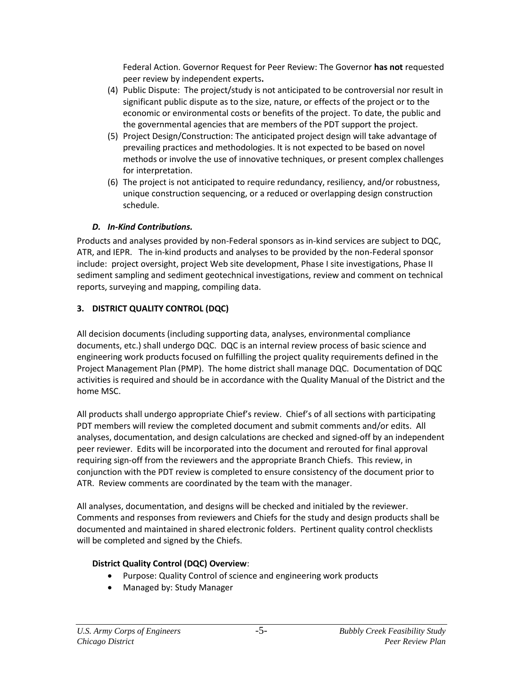Federal Action. Governor Request for Peer Review: The Governor **has not** requested peer review by independent experts**.**

- (4) Public Dispute:The project/study is not anticipated to be controversial nor result in significant public dispute as to the size, nature, or effects of the project or to the economic or environmental costs or benefits of the project. To date, the public and the governmental agencies that are members of the PDT support the project.
- (5) Project Design/Construction: The anticipated project design will take advantage of prevailing practices and methodologies. It is not expected to be based on novel methods or involve the use of innovative techniques, or present complex challenges for interpretation.
- (6) The project is not anticipated to require redundancy, resiliency, and/or robustness, unique construction sequencing, or a reduced or overlapping design construction schedule.

#### <span id="page-7-0"></span>*D. In-Kind Contributions.*

Products and analyses provided by non-Federal sponsors as in-kind services are subject to DQC, ATR, and IEPR. The in-kind products and analyses to be provided by the non-Federal sponsor include:project oversight, project Web site development, Phase I site investigations, Phase II sediment sampling and sediment geotechnical investigations, review and comment on technical reports, surveying and mapping, compiling data.

## <span id="page-7-1"></span>**3. DISTRICT QUALITY CONTROL (DQC)**

All decision documents (including supporting data, analyses, environmental compliance documents, etc.) shall undergo DQC. DQC is an internal review process of basic science and engineering work products focused on fulfilling the project quality requirements defined in the Project Management Plan (PMP). The home district shall manage DQC. Documentation of DQC activities is required and should be in accordance with the Quality Manual of the District and the home MSC.

All products shall undergo appropriate Chief's review. Chief's of all sections with participating PDT members will review the completed document and submit comments and/or edits. All analyses, documentation, and design calculations are checked and signed-off by an independent peer reviewer. Edits will be incorporated into the document and rerouted for final approval requiring sign-off from the reviewers and the appropriate Branch Chiefs. This review, in conjunction with the PDT review is completed to ensure consistency of the document prior to ATR. Review comments are coordinated by the team with the manager.

All analyses, documentation, and designs will be checked and initialed by the reviewer. Comments and responses from reviewers and Chiefs for the study and design products shall be documented and maintained in shared electronic folders. Pertinent quality control checklists will be completed and signed by the Chiefs.

### **District Quality Control (DQC) Overview**:

- Purpose: Quality Control of science and engineering work products
- Managed by: Study Manager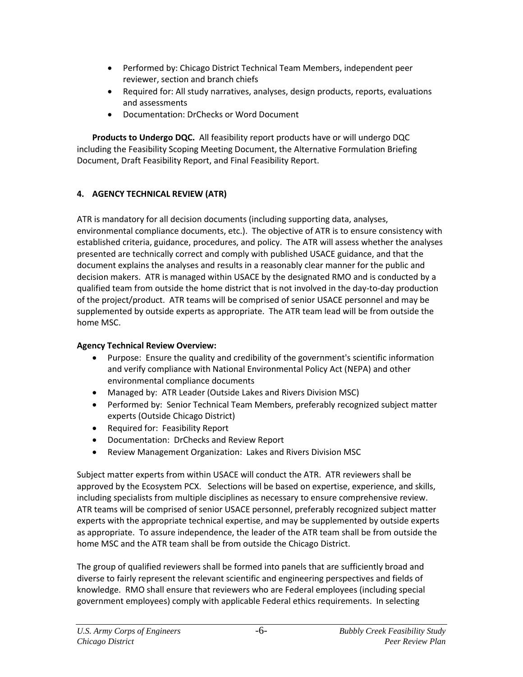- Performed by: Chicago District Technical Team Members, independent peer reviewer, section and branch chiefs
- Required for: All study narratives, analyses, design products, reports, evaluations and assessments
- Documentation: DrChecks or Word Document

**Products to Undergo DQC.** All feasibility report products have or will undergo DQC including the Feasibility Scoping Meeting Document, the Alternative Formulation Briefing Document, Draft Feasibility Report, and Final Feasibility Report.

## <span id="page-8-0"></span>**4. AGENCY TECHNICAL REVIEW (ATR)**

ATR is mandatory for all decision documents (including supporting data, analyses, environmental compliance documents, etc.). The objective of ATR is to ensure consistency with established criteria, guidance, procedures, and policy. The ATR will assess whether the analyses presented are technically correct and comply with published USACE guidance, and that the document explains the analyses and results in a reasonably clear manner for the public and decision makers. ATR is managed within USACE by the designated RMO and is conducted by a qualified team from outside the home district that is not involved in the day-to-day production of the project/product. ATR teams will be comprised of senior USACE personnel and may be supplemented by outside experts as appropriate. The ATR team lead will be from outside the home MSC.

## **Agency Technical Review Overview:**

- Purpose: Ensure the quality and credibility of the government's scientific information and verify compliance with National Environmental Policy Act (NEPA) and other environmental compliance documents
- Managed by: ATR Leader (Outside Lakes and Rivers Division MSC)
- Performed by: Senior Technical Team Members, preferably recognized subject matter experts (Outside Chicago District)
- Required for: Feasibility Report
- Documentation: DrChecks and Review Report
- Review Management Organization: Lakes and Rivers Division MSC

Subject matter experts from within USACE will conduct the ATR. ATR reviewers shall be approved by the Ecosystem PCX. Selections will be based on expertise, experience, and skills, including specialists from multiple disciplines as necessary to ensure comprehensive review. ATR teams will be comprised of senior USACE personnel, preferably recognized subject matter experts with the appropriate technical expertise, and may be supplemented by outside experts as appropriate. To assure independence, the leader of the ATR team shall be from outside the home MSC and the ATR team shall be from outside the Chicago District.

The group of qualified reviewers shall be formed into panels that are sufficiently broad and diverse to fairly represent the relevant scientific and engineering perspectives and fields of knowledge. RMO shall ensure that reviewers who are Federal employees (including special government employees) comply with applicable Federal ethics requirements. In selecting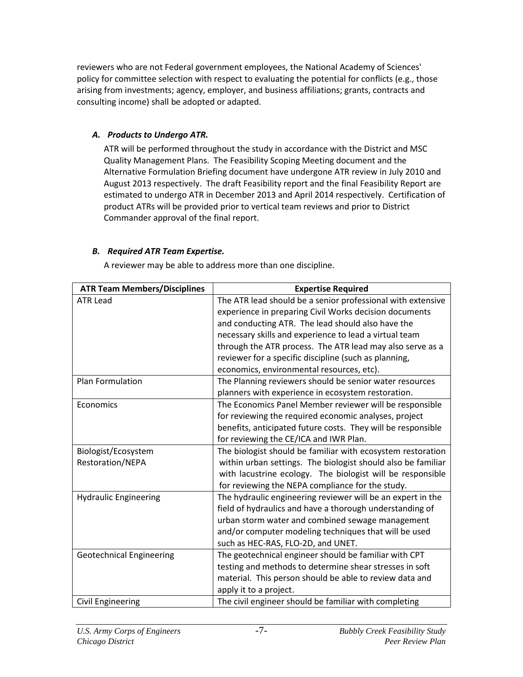reviewers who are not Federal government employees, the National Academy of Sciences' policy for committee selection with respect to evaluating the potential for conflicts (e.g., those arising from investments; agency, employer, and business affiliations; grants, contracts and consulting income) shall be adopted or adapted.

#### <span id="page-9-0"></span>*A. Products to Undergo ATR.*

ATR will be performed throughout the study in accordance with the District and MSC Quality Management Plans. The Feasibility Scoping Meeting document and the Alternative Formulation Briefing document have undergone ATR review in July 2010 and August 2013 respectively. The draft Feasibility report and the final Feasibility Report are estimated to undergo ATR in December 2013 and April 2014 respectively. Certification of product ATRs will be provided prior to vertical team reviews and prior to District Commander approval of the final report.

#### <span id="page-9-1"></span>*B. Required ATR Team Expertise.*

A reviewer may be able to address more than one discipline.

| <b>ATR Team Members/Disciplines</b> | <b>Expertise Required</b>                                    |  |
|-------------------------------------|--------------------------------------------------------------|--|
| <b>ATR Lead</b>                     | The ATR lead should be a senior professional with extensive  |  |
|                                     | experience in preparing Civil Works decision documents       |  |
|                                     | and conducting ATR. The lead should also have the            |  |
|                                     | necessary skills and experience to lead a virtual team       |  |
|                                     | through the ATR process. The ATR lead may also serve as a    |  |
|                                     | reviewer for a specific discipline (such as planning,        |  |
|                                     | economics, environmental resources, etc).                    |  |
| Plan Formulation                    | The Planning reviewers should be senior water resources      |  |
|                                     | planners with experience in ecosystem restoration.           |  |
| Economics                           | The Economics Panel Member reviewer will be responsible      |  |
|                                     | for reviewing the required economic analyses, project        |  |
|                                     | benefits, anticipated future costs. They will be responsible |  |
|                                     | for reviewing the CE/ICA and IWR Plan.                       |  |
| Biologist/Ecosystem                 | The biologist should be familiar with ecosystem restoration  |  |
| Restoration/NEPA                    | within urban settings. The biologist should also be familiar |  |
|                                     | with lacustrine ecology. The biologist will be responsible   |  |
|                                     | for reviewing the NEPA compliance for the study.             |  |
| <b>Hydraulic Engineering</b>        | The hydraulic engineering reviewer will be an expert in the  |  |
|                                     | field of hydraulics and have a thorough understanding of     |  |
|                                     | urban storm water and combined sewage management             |  |
|                                     | and/or computer modeling techniques that will be used        |  |
|                                     | such as HEC-RAS, FLO-2D, and UNET.                           |  |
| <b>Geotechnical Engineering</b>     | The geotechnical engineer should be familiar with CPT        |  |
|                                     | testing and methods to determine shear stresses in soft      |  |
|                                     | material. This person should be able to review data and      |  |
|                                     | apply it to a project.                                       |  |
| Civil Engineering                   | The civil engineer should be familiar with completing        |  |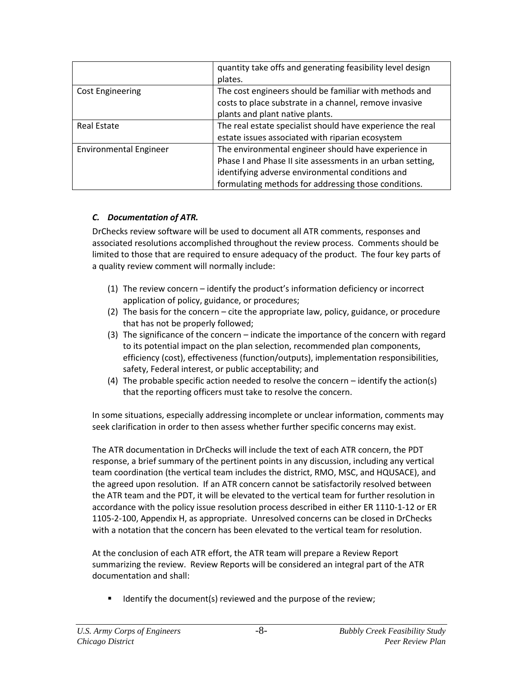|                               | quantity take offs and generating feasibility level design |  |
|-------------------------------|------------------------------------------------------------|--|
|                               | plates.                                                    |  |
| <b>Cost Engineering</b>       | The cost engineers should be familiar with methods and     |  |
|                               | costs to place substrate in a channel, remove invasive     |  |
|                               | plants and plant native plants.                            |  |
| <b>Real Estate</b>            | The real estate specialist should have experience the real |  |
|                               | estate issues associated with riparian ecosystem           |  |
| <b>Environmental Engineer</b> | The environmental engineer should have experience in       |  |
|                               | Phase I and Phase II site assessments in an urban setting, |  |
|                               | identifying adverse environmental conditions and           |  |
|                               | formulating methods for addressing those conditions.       |  |

#### <span id="page-10-0"></span>*C. Documentation of ATR.*

DrChecks review software will be used to document all ATR comments, responses and associated resolutions accomplished throughout the review process. Comments should be limited to those that are required to ensure adequacy of the product. The four key parts of a quality review comment will normally include:

- (1) The review concern identify the product's information deficiency or incorrect application of policy, guidance, or procedures;
- (2) The basis for the concern cite the appropriate law, policy, guidance, or procedure that has not be properly followed;
- (3) The significance of the concern indicate the importance of the concern with regard to its potential impact on the plan selection, recommended plan components, efficiency (cost), effectiveness (function/outputs), implementation responsibilities, safety, Federal interest, or public acceptability; and
- (4) The probable specific action needed to resolve the concern identify the action(s) that the reporting officers must take to resolve the concern.

In some situations, especially addressing incomplete or unclear information, comments may seek clarification in order to then assess whether further specific concerns may exist.

The ATR documentation in DrChecks will include the text of each ATR concern, the PDT response, a brief summary of the pertinent points in any discussion, including any vertical team coordination (the vertical team includes the district, RMO, MSC, and HQUSACE), and the agreed upon resolution. If an ATR concern cannot be satisfactorily resolved between the ATR team and the PDT, it will be elevated to the vertical team for further resolution in accordance with the policy issue resolution process described in either ER 1110-1-12 or ER 1105-2-100, Appendix H, as appropriate. Unresolved concerns can be closed in DrChecks with a notation that the concern has been elevated to the vertical team for resolution.

At the conclusion of each ATR effort, the ATR team will prepare a Review Report summarizing the review. Review Reports will be considered an integral part of the ATR documentation and shall:

Identify the document(s) reviewed and the purpose of the review;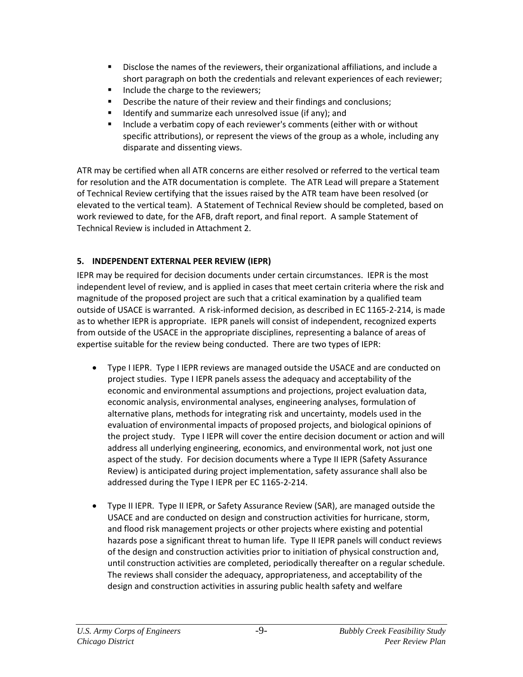- Disclose the names of the reviewers, their organizational affiliations, and include a short paragraph on both the credentials and relevant experiences of each reviewer;
- Include the charge to the reviewers;
- Describe the nature of their review and their findings and conclusions;
- Identify and summarize each unresolved issue (if any); and
- Include a verbatim copy of each reviewer's comments (either with or without specific attributions), or represent the views of the group as a whole, including any disparate and dissenting views.

ATR may be certified when all ATR concerns are either resolved or referred to the vertical team for resolution and the ATR documentation is complete. The ATR Lead will prepare a Statement of Technical Review certifying that the issues raised by the ATR team have been resolved (or elevated to the vertical team). A Statement of Technical Review should be completed, based on work reviewed to date, for the AFB, draft report, and final report. A sample Statement of Technical Review is included in Attachment 2.

## <span id="page-11-0"></span>**5. INDEPENDENT EXTERNAL PEER REVIEW (IEPR)**

IEPR may be required for decision documents under certain circumstances. IEPR is the most independent level of review, and is applied in cases that meet certain criteria where the risk and magnitude of the proposed project are such that a critical examination by a qualified team outside of USACE is warranted. A risk-informed decision, as described in EC 1165-2-214, is made as to whether IEPR is appropriate. IEPR panels will consist of independent, recognized experts from outside of the USACE in the appropriate disciplines, representing a balance of areas of expertise suitable for the review being conducted. There are two types of IEPR:

- Type I IEPR. Type I IEPR reviews are managed outside the USACE and are conducted on project studies. Type I IEPR panels assess the adequacy and acceptability of the economic and environmental assumptions and projections, project evaluation data, economic analysis, environmental analyses, engineering analyses, formulation of alternative plans, methods for integrating risk and uncertainty, models used in the evaluation of environmental impacts of proposed projects, and biological opinions of the project study. Type I IEPR will cover the entire decision document or action and will address all underlying engineering, economics, and environmental work, not just one aspect of the study. For decision documents where a Type II IEPR (Safety Assurance Review) is anticipated during project implementation, safety assurance shall also be addressed during the Type I IEPR per EC 1165-2-214.
- Type II IEPR. Type II IEPR, or Safety Assurance Review (SAR), are managed outside the USACE and are conducted on design and construction activities for hurricane, storm, and flood risk management projects or other projects where existing and potential hazards pose a significant threat to human life. Type II IEPR panels will conduct reviews of the design and construction activities prior to initiation of physical construction and, until construction activities are completed, periodically thereafter on a regular schedule. The reviews shall consider the adequacy, appropriateness, and acceptability of the design and construction activities in assuring public health safety and welfare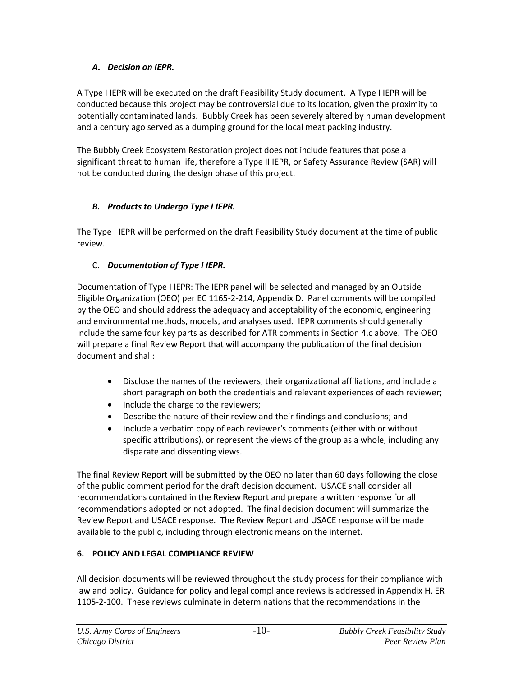#### <span id="page-12-0"></span>*A. Decision on IEPR.*

A Type I IEPR will be executed on the draft Feasibility Study document. A Type I IEPR will be conducted because this project may be controversial due to its location, given the proximity to potentially contaminated lands. Bubbly Creek has been severely altered by human development and a century ago served as a dumping ground for the local meat packing industry.

The Bubbly Creek Ecosystem Restoration project does not include features that pose a significant threat to human life, therefore a Type II IEPR, or Safety Assurance Review (SAR) will not be conducted during the design phase of this project.

### <span id="page-12-1"></span>*B. Products to Undergo Type I IEPR.*

The Type I IEPR will be performed on the draft Feasibility Study document at the time of public review.

## <span id="page-12-2"></span>C. *Documentation of Type I IEPR.*

Documentation of Type I IEPR: The IEPR panel will be selected and managed by an Outside Eligible Organization (OEO) per EC 1165-2-214, Appendix D. Panel comments will be compiled by the OEO and should address the adequacy and acceptability of the economic, engineering and environmental methods, models, and analyses used. IEPR comments should generally include the same four key parts as described for ATR comments in Section 4.c above. The OEO will prepare a final Review Report that will accompany the publication of the final decision document and shall:

- Disclose the names of the reviewers, their organizational affiliations, and include a short paragraph on both the credentials and relevant experiences of each reviewer;
- Include the charge to the reviewers;
- Describe the nature of their review and their findings and conclusions; and
- Include a verbatim copy of each reviewer's comments (either with or without specific attributions), or represent the views of the group as a whole, including any disparate and dissenting views.

The final Review Report will be submitted by the OEO no later than 60 days following the close of the public comment period for the draft decision document. USACE shall consider all recommendations contained in the Review Report and prepare a written response for all recommendations adopted or not adopted. The final decision document will summarize the Review Report and USACE response. The Review Report and USACE response will be made available to the public, including through electronic means on the internet.

### <span id="page-12-3"></span>**6. POLICY AND LEGAL COMPLIANCE REVIEW**

All decision documents will be reviewed throughout the study process for their compliance with law and policy. Guidance for policy and legal compliance reviews is addressed in Appendix H, ER 1105-2-100. These reviews culminate in determinations that the recommendations in the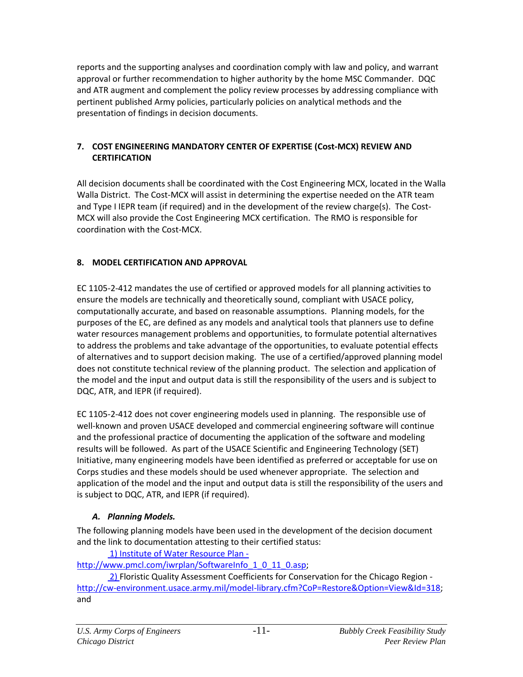reports and the supporting analyses and coordination comply with law and policy, and warrant approval or further recommendation to higher authority by the home MSC Commander. DQC and ATR augment and complement the policy review processes by addressing compliance with pertinent published Army policies, particularly policies on analytical methods and the presentation of findings in decision documents.

#### <span id="page-13-0"></span>**7. COST ENGINEERING MANDATORY CENTER OF EXPERTISE (Cost-MCX) REVIEW AND CERTIFICATION**

All decision documents shall be coordinated with the Cost Engineering MCX, located in the Walla Walla District. The Cost-MCX will assist in determining the expertise needed on the ATR team and Type I IEPR team (if required) and in the development of the review charge(s). The Cost-MCX will also provide the Cost Engineering MCX certification. The RMO is responsible for coordination with the Cost-MCX.

### <span id="page-13-1"></span>**8. MODEL CERTIFICATION AND APPROVAL**

EC 1105-2-412 mandates the use of certified or approved models for all planning activities to ensure the models are technically and theoretically sound, compliant with USACE policy, computationally accurate, and based on reasonable assumptions. Planning models, for the purposes of the EC, are defined as any models and analytical tools that planners use to define water resources management problems and opportunities, to formulate potential alternatives to address the problems and take advantage of the opportunities, to evaluate potential effects of alternatives and to support decision making. The use of a certified/approved planning model does not constitute technical review of the planning product. The selection and application of the model and the input and output data is still the responsibility of the users and is subject to DQC, ATR, and IEPR (if required).

EC 1105-2-412 does not cover engineering models used in planning. The responsible use of well-known and proven USACE developed and commercial engineering software will continue and the professional practice of documenting the application of the software and modeling results will be followed. As part of the USACE Scientific and Engineering Technology (SET) Initiative, many engineering models have been identified as preferred or acceptable for use on Corps studies and these models should be used whenever appropriate. The selection and application of the model and the input and output data is still the responsibility of the users and is subject to DQC, ATR, and IEPR (if required).

### <span id="page-13-2"></span>*A. Planning Models.*

The following planning models have been used in the development of the decision document and the link to documentation attesting to their certified status:

1) Institute of Water Resource Plan [http://www.pmcl.com/iwrplan/SoftwareInfo\\_1\\_0\\_11\\_0.asp;](http://www.pmcl.com/iwrplan/SoftwareInfo_1_0_11_0.asp)

2) Floristic Quality Assessment Coefficients for Conservation for the Chicago Region [http://cw-environment.usace.army.mil/model-library.cfm?CoP=Restore&Option=View&Id=318;](http://cw-environment.usace.army.mil/model-library.cfm?CoP=Restore&Option=View&Id=318) and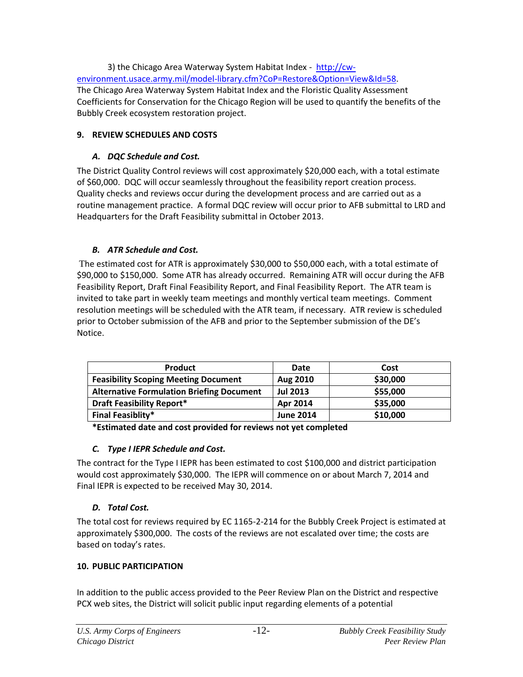3) the Chicago Area Waterway System Habitat Index - [http://cw](http://cw-environment.usace.army.mil/model-library.cfm?CoP=Restore&Option=View&Id=58)[environment.usace.army.mil/model-library.cfm?CoP=Restore&Option=View&Id=58.](http://cw-environment.usace.army.mil/model-library.cfm?CoP=Restore&Option=View&Id=58) The Chicago Area Waterway System Habitat Index and the Floristic Quality Assessment Coefficients for Conservation for the Chicago Region will be used to quantify the benefits of the Bubbly Creek ecosystem restoration project.

#### <span id="page-14-0"></span>**9. REVIEW SCHEDULES AND COSTS**

#### *A. DQC Schedule and Cost.*

The District Quality Control reviews will cost approximately \$20,000 each, with a total estimate of \$60,000. DQC will occur seamlessly throughout the feasibility report creation process. Quality checks and reviews occur during the development process and are carried out as a routine management practice. A formal DQC review will occur prior to AFB submittal to LRD and Headquarters for the Draft Feasibility submittal in October 2013.

#### <span id="page-14-1"></span>*B. ATR Schedule and Cost.*

The estimated cost for ATR is approximately \$30,000 to \$50,000 each, with a total estimate of \$90,000 to \$150,000.Some ATR has already occurred. Remaining ATR will occur during the AFB Feasibility Report, Draft Final Feasibility Report, and Final Feasibility Report. The ATR team is invited to take part in weekly team meetings and monthly vertical team meetings. Comment resolution meetings will be scheduled with the ATR team, if necessary. ATR review is scheduled prior to October submission of the AFB and prior to the September submission of the DE's Notice.

| <b>Product</b>                                   | Date             | Cost     |
|--------------------------------------------------|------------------|----------|
| <b>Feasibility Scoping Meeting Document</b>      | Aug 2010         | \$30,000 |
| <b>Alternative Formulation Briefing Document</b> | <b>Jul 2013</b>  | \$55,000 |
| <b>Draft Feasibility Report*</b>                 | Apr 2014         | \$35,000 |
| <b>Final Feasiblity*</b>                         | <b>June 2014</b> | \$10,000 |

**\*Estimated date and cost provided for reviews not yet completed**

### <span id="page-14-2"></span>*C. Type I IEPR Schedule and Cost.*

The contract for the Type I IEPR has been estimated to cost \$100,000 and district participation would cost approximately \$30,000. The IEPR will commence on or about March 7, 2014 and Final IEPR is expected to be received May 30, 2014.

### <span id="page-14-3"></span>*D. Total Cost.*

The total cost for reviews required by EC 1165-2-214 for the Bubbly Creek Project is estimated at approximately \$300,000. The costs of the reviews are not escalated over time; the costs are based on today's rates.

### <span id="page-14-4"></span>**10. PUBLIC PARTICIPATION**

In addition to the public access provided to the Peer Review Plan on the District and respective PCX web sites, the District will solicit public input regarding elements of a potential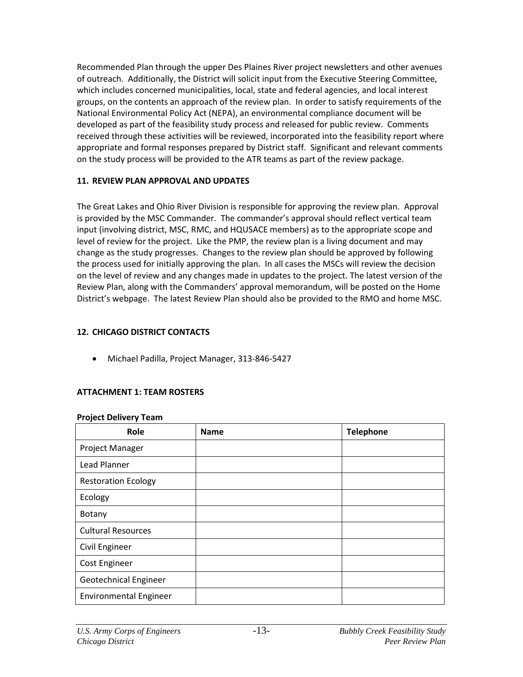Recommended Plan through the upper Des Plaines River project newsletters and other avenues of outreach. Additionally, the District will solicit input from the Executive Steering Committee, which includes concerned municipalities, local, state and federal agencies, and local interest groups, on the contents an approach of the review plan. In order to satisfy requirements of the National Environmental Policy Act (NEPA), an environmental compliance document will be developed as part of the feasibility study process and released for public review. Comments received through these activities will be reviewed, incorporated into the feasibility report where appropriate and formal responses prepared by District staff. Significant and relevant comments on the study process will be provided to the ATR teams as part of the review package.

#### <span id="page-15-0"></span>**11. REVIEW PLAN APPROVAL AND UPDATES**

The Great Lakes and Ohio River Division is responsible for approving the review plan. Approval is provided by the MSC Commander. The commander's approval should reflect vertical team input (involving district, MSC, RMC, and HQUSACE members) as to the appropriate scope and level of review for the project. Like the PMP, the review plan is a living document and may change as the study progresses. Changes to the review plan should be approved by following the process used for initially approving the plan. In all cases the MSCs will review the decision on the level of review and any changes made in updates to the project. The latest version of the Review Plan, along with the Commanders' approval memorandum, will be posted on the Home District's webpage. The latest Review Plan should also be provided to the RMO and home MSC.

#### <span id="page-15-1"></span>**12. CHICAGO DISTRICT CONTACTS**

Michael Padilla, Project Manager, 313-846-5427

### <span id="page-15-2"></span>**ATTACHMENT 1: TEAM ROSTERS**

#### **Project Delivery Team**

| Role                          | <b>Name</b> | <b>Telephone</b> |
|-------------------------------|-------------|------------------|
| Project Manager               |             |                  |
| Lead Planner                  |             |                  |
| <b>Restoration Ecology</b>    |             |                  |
| Ecology                       |             |                  |
| Botany                        |             |                  |
| <b>Cultural Resources</b>     |             |                  |
| Civil Engineer                |             |                  |
| <b>Cost Engineer</b>          |             |                  |
| Geotechnical Engineer         |             |                  |
| <b>Environmental Engineer</b> |             |                  |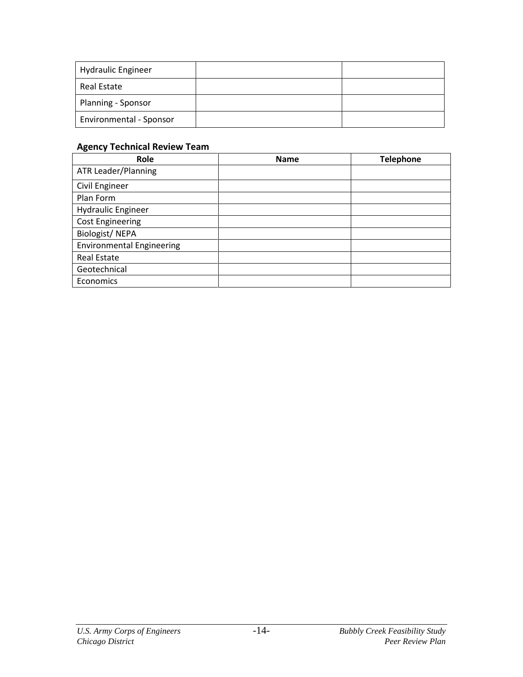| <b>Hydraulic Engineer</b> |  |
|---------------------------|--|
| Real Estate               |  |
| Planning - Sponsor        |  |
| Environmental - Sponsor   |  |

### **Agency Technical Review Team**

| Role                             | <b>Name</b> | <b>Telephone</b> |
|----------------------------------|-------------|------------------|
| <b>ATR Leader/Planning</b>       |             |                  |
| Civil Engineer                   |             |                  |
| Plan Form                        |             |                  |
| <b>Hydraulic Engineer</b>        |             |                  |
| <b>Cost Engineering</b>          |             |                  |
| <b>Biologist/NEPA</b>            |             |                  |
| <b>Environmental Engineering</b> |             |                  |
| <b>Real Estate</b>               |             |                  |
| Geotechnical                     |             |                  |
| Economics                        |             |                  |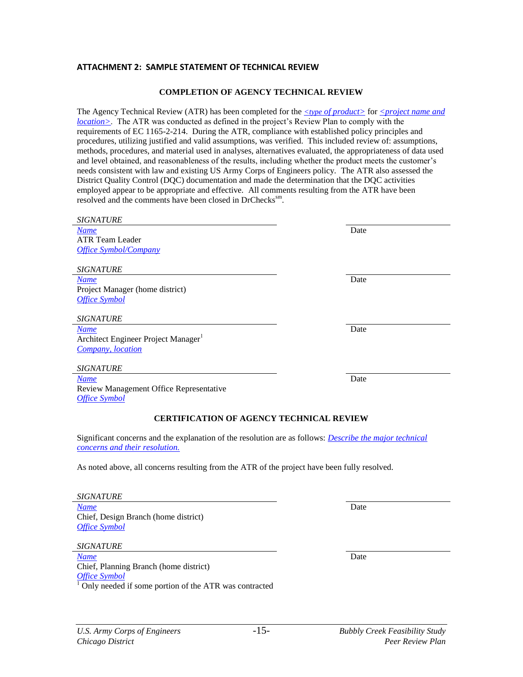#### <span id="page-17-0"></span>**ATTACHMENT 2: SAMPLE STATEMENT OF TECHNICAL REVIEW**

#### **COMPLETION OF AGENCY TECHNICAL REVIEW**

The Agency Technical Review (ATR) has been completed for the *<type of product>* for *<project name and location>*. The ATR was conducted as defined in the project's Review Plan to comply with the requirements of EC 1165-2-214. During the ATR, compliance with established policy principles and procedures, utilizing justified and valid assumptions, was verified. This included review of: assumptions, methods, procedures, and material used in analyses, alternatives evaluated, the appropriateness of data used and level obtained, and reasonableness of the results, including whether the product meets the customer's needs consistent with law and existing US Army Corps of Engineers policy. The ATR also assessed the District Quality Control (DQC) documentation and made the determination that the DQC activities employed appear to be appropriate and effective. All comments resulting from the ATR have been resolved and the comments have been closed in DrChecks<sup>sm</sup>.

| <b>SIGNATURE</b>                                                                                                                                 |      |  |
|--------------------------------------------------------------------------------------------------------------------------------------------------|------|--|
| <b>Name</b>                                                                                                                                      | Date |  |
| <b>ATR Team Leader</b>                                                                                                                           |      |  |
| <b>Office Symbol/Company</b>                                                                                                                     |      |  |
|                                                                                                                                                  |      |  |
| <b>SIGNATURE</b>                                                                                                                                 |      |  |
| <b>Name</b>                                                                                                                                      | Date |  |
| Project Manager (home district)                                                                                                                  |      |  |
| <b>Office Symbol</b>                                                                                                                             |      |  |
|                                                                                                                                                  |      |  |
| <b>SIGNATURE</b>                                                                                                                                 |      |  |
| <b>Name</b>                                                                                                                                      | Date |  |
| Architect Engineer Project Manager <sup>1</sup>                                                                                                  |      |  |
| Company, location                                                                                                                                |      |  |
|                                                                                                                                                  |      |  |
| <b>SIGNATURE</b>                                                                                                                                 |      |  |
| <b>Name</b>                                                                                                                                      | Date |  |
| Review Management Office Representative                                                                                                          |      |  |
| <b>Office Symbol</b>                                                                                                                             |      |  |
|                                                                                                                                                  |      |  |
| <b>CERTIFICATION OF AGENCY TECHNICAL REVIEW</b>                                                                                                  |      |  |
| Significant concerns and the explanation of the resolution are as follows: <i>Describe the major technical</i><br>concerns and their resolution. |      |  |

As noted above, all concerns resulting from the ATR of the project have been fully resolved.

| <i>SIGNATURE</i>                     |      |
|--------------------------------------|------|
| <b>Name</b>                          | Date |
| Chief, Design Branch (home district) |      |
| <b>Office Symbol</b>                 |      |

*SIGNATURE*

*Name* Date Chief, Planning Branch (home district) *Office Symbol* <sup>1</sup> Only needed if some portion of the ATR was contracted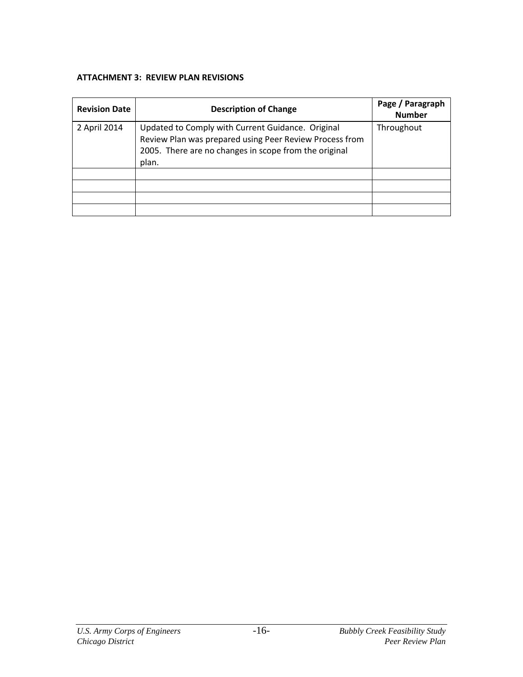#### <span id="page-18-0"></span>**ATTACHMENT 3: REVIEW PLAN REVISIONS**

| <b>Revision Date</b> | <b>Description of Change</b>                                                                                                                                                   | Page / Paragraph<br><b>Number</b> |
|----------------------|--------------------------------------------------------------------------------------------------------------------------------------------------------------------------------|-----------------------------------|
| 2 April 2014         | Updated to Comply with Current Guidance. Original<br>Review Plan was prepared using Peer Review Process from<br>2005. There are no changes in scope from the original<br>plan. | Throughout                        |
|                      |                                                                                                                                                                                |                                   |
|                      |                                                                                                                                                                                |                                   |